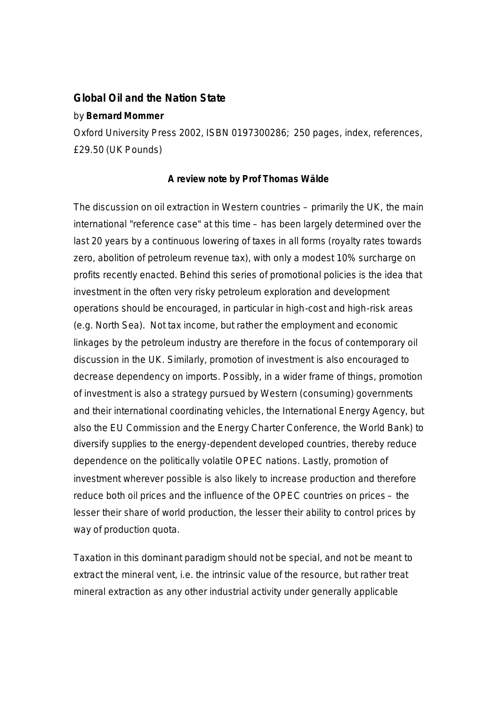## **Global Oil and the Nation State**

## by **Bernard Mommer**

Oxford University Press 2002, ISBN 0197300286; 250 pages, index, references, £29.50 (UK Pounds)

## **A review note by Prof Thomas Wälde**

The discussion on oil extraction in Western countries – primarily the UK, the main international "reference case" at this time – has been largely determined over the last 20 years by a continuous lowering of taxes in all forms (royalty rates towards zero, abolition of petroleum revenue tax), with only a modest 10% surcharge on profits recently enacted. Behind this series of promotional policies is the idea that investment in the often very risky petroleum exploration and development operations should be encouraged, in particular in high-cost and high-risk areas (e.g. North Sea). Not tax income, but rather the employment and economic linkages by the petroleum industry are therefore in the focus of contemporary oil discussion in the UK. Similarly, promotion of investment is also encouraged to decrease dependency on imports. Possibly, in a wider frame of things, promotion of investment is also a strategy pursued by Western (consuming) governments and their international coordinating vehicles, the International Energy Agency, but also the EU Commission and the Energy Charter Conference, the World Bank) to diversify supplies to the energy-dependent developed countries, thereby reduce dependence on the politically volatile OPEC nations. Lastly, promotion of investment wherever possible is also likely to increase production and therefore reduce both oil prices and the influence of the OPEC countries on prices – the lesser their share of world production, the lesser their ability to control prices by way of production quota.

Taxation in this dominant paradigm should not be special, and not be meant to extract the mineral vent, i.e. the intrinsic value of the resource, but rather treat mineral extraction as any other industrial activity under generally applicable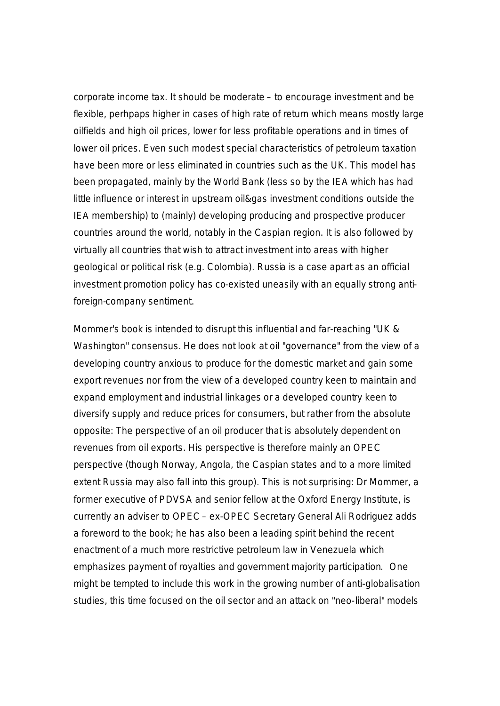corporate income tax. It should be moderate – to encourage investment and be flexible, perhpaps higher in cases of high rate of return which means mostly large oilfields and high oil prices, lower for less profitable operations and in times of lower oil prices. Even such modest special characteristics of petroleum taxation have been more or less eliminated in countries such as the UK. This model has been propagated, mainly by the World Bank (less so by the IEA which has had little influence or interest in upstream oil&gas investment conditions outside the IEA membership) to (mainly) developing producing and prospective producer countries around the world, notably in the Caspian region. It is also followed by virtually all countries that wish to attract investment into areas with higher geological or political risk (e.g. Colombia). Russia is a case apart as an official investment promotion policy has co-existed uneasily with an equally strong antiforeign-company sentiment.

Mommer's book is intended to disrupt this influential and far-reaching "UK & Washington" consensus. He does not look at oil "governance" from the view of a developing country anxious to produce for the domestic market and gain some export revenues nor from the view of a developed country keen to maintain and expand employment and industrial linkages or a developed country keen to diversify supply and reduce prices for consumers, but rather from the absolute opposite: The perspective of an oil producer that is absolutely dependent on revenues from oil exports. His perspective is therefore mainly an OPEC perspective (though Norway, Angola, the Caspian states and to a more limited extent Russia may also fall into this group). This is not surprising: Dr Mommer, a former executive of PDVSA and senior fellow at the Oxford Energy Institute, is currently an adviser to OPEC – ex-OPEC Secretary General Ali Rodriguez adds a foreword to the book; he has also been a leading spirit behind the recent enactment of a much more restrictive petroleum law in Venezuela which emphasizes payment of royalties and government majority participation. One might be tempted to include this work in the growing number of anti-globalisation studies, this time focused on the oil sector and an attack on "neo-liberal" models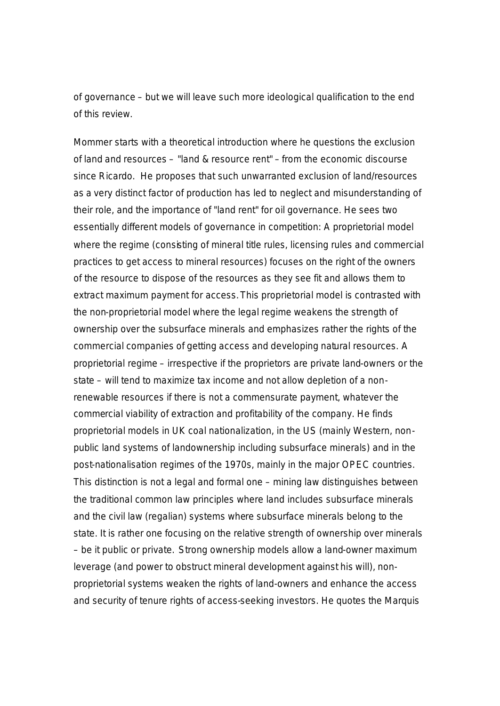of governance – but we will leave such more ideological qualification to the end of this review.

Mommer starts with a theoretical introduction where he questions the exclusion of land and resources – "land & resource rent" – from the economic discourse since Ricardo. He proposes that such unwarranted exclusion of land/resources as a very distinct factor of production has led to neglect and misunderstanding of their role, and the importance of "land rent" for oil governance. He sees two essentially different models of governance in competition: A proprietorial model where the regime (consisting of mineral title rules, licensing rules and commercial practices to get access to mineral resources) focuses on the right of the owners of the resource to dispose of the resources as they see fit and allows them to extract maximum payment for access. This proprietorial model is contrasted with the non-proprietorial model where the legal regime weakens the strength of ownership over the subsurface minerals and emphasizes rather the rights of the commercial companies of getting access and developing natural resources. A proprietorial regime – irrespective if the proprietors are private land-owners or the state – will tend to maximize tax income and not allow depletion of a nonrenewable resources if there is not a commensurate payment, whatever the commercial viability of extraction and profitability of the company. He finds proprietorial models in UK coal nationalization, in the US (mainly Western, nonpublic land systems of landownership including subsurface minerals) and in the post-nationalisation regimes of the 1970s, mainly in the major OPEC countries. This distinction is not a legal and formal one – mining law distinguishes between the traditional common law principles where land includes subsurface minerals and the civil law (regalian) systems where subsurface minerals belong to the state. It is rather one focusing on the relative strength of ownership over minerals – be it public or private. Strong ownership models allow a land-owner maximum leverage (and power to obstruct mineral development against his will), nonproprietorial systems weaken the rights of land-owners and enhance the access and security of tenure rights of access-seeking investors. He quotes the Marquis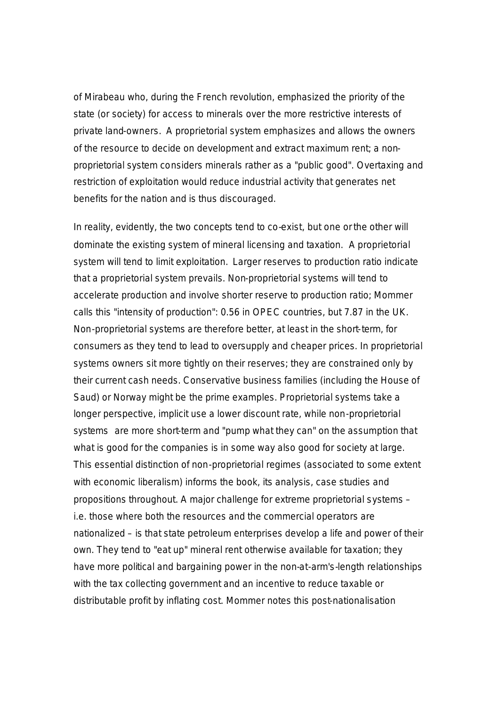of Mirabeau who, during the French revolution, emphasized the priority of the state (or society) for access to minerals over the more restrictive interests of private land-owners. A proprietorial system emphasizes and allows the owners of the resource to decide on development and extract maximum rent; a nonproprietorial system considers minerals rather as a "public good". Overtaxing and restriction of exploitation would reduce industrial activity that generates net benefits for the nation and is thus discouraged.

In reality, evidently, the two concepts tend to co-exist, but one or the other will dominate the existing system of mineral licensing and taxation. A proprietorial system will tend to limit exploitation. Larger reserves to production ratio indicate that a proprietorial system prevails. Non-proprietorial systems will tend to accelerate production and involve shorter reserve to production ratio; Mommer calls this "intensity of production": 0.56 in OPEC countries, but 7.87 in the UK. Non-proprietorial systems are therefore better, at least in the short-term, for consumers as they tend to lead to oversupply and cheaper prices. In proprietorial systems owners sit more tightly on their reserves; they are constrained only by their current cash needs. Conservative business families (including the House of Saud) or Norway might be the prime examples. Proprietorial systems take a longer perspective, implicit use a lower discount rate, while non-proprietorial systems are more short-term and "pump what they can" on the assumption that what is good for the companies is in some way also good for society at large. This essential distinction of non-proprietorial regimes (associated to some extent with economic liberalism) informs the book, its analysis, case studies and propositions throughout. A major challenge for extreme proprietorial systems – i.e. those where both the resources and the commercial operators are nationalized – is that state petroleum enterprises develop a life and power of their own. They tend to "eat up" mineral rent otherwise available for taxation; they have more political and bargaining power in the non-at-arm's-length relationships with the tax collecting government and an incentive to reduce taxable or distributable profit by inflating cost. Mommer notes this post-nationalisation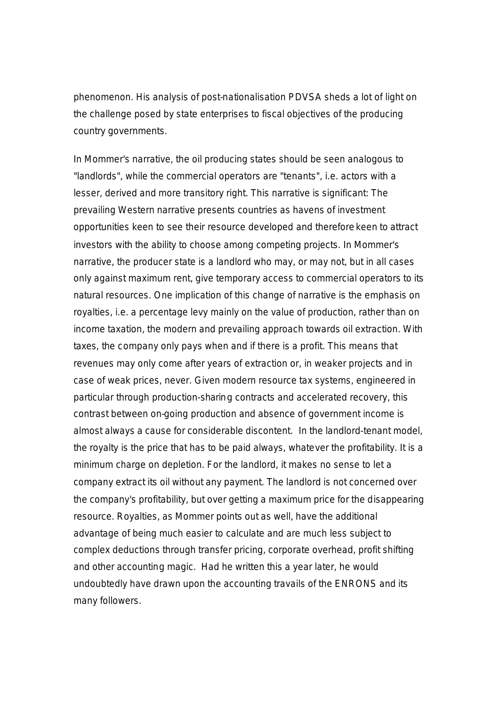phenomenon. His analysis of post-nationalisation PDVSA sheds a lot of light on the challenge posed by state enterprises to fiscal objectives of the producing country governments.

In Mommer's narrative, the oil producing states should be seen analogous to "landlords", while the commercial operators are "tenants", i.e. actors with a lesser, derived and more transitory right. This narrative is significant: The prevailing Western narrative presents countries as havens of investment opportunities keen to see their resource developed and therefore keen to attract investors with the ability to choose among competing projects. In Mommer's narrative, the producer state is a landlord who may, or may not, but in all cases only against maximum rent, give temporary access to commercial operators to its natural resources. One implication of this change of narrative is the emphasis on royalties, i.e. a percentage levy mainly on the value of production, rather than on income taxation, the modern and prevailing approach towards oil extraction. With taxes, the company only pays when and if there is a profit. This means that revenues may only come after years of extraction or, in weaker projects and in case of weak prices, never. Given modern resource tax systems, engineered in particular through production-sharing contracts and accelerated recovery, this contrast between on-going production and absence of government income is almost always a cause for considerable discontent. In the landlord-tenant model, the royalty is the price that has to be paid always, whatever the profitability. It is a minimum charge on depletion. For the landlord, it makes no sense to let a company extract its oil without any payment. The landlord is not concerned over the company's profitability, but over getting a maximum price for the disappearing resource. Royalties, as Mommer points out as well, have the additional advantage of being much easier to calculate and are much less subject to complex deductions through transfer pricing, corporate overhead, profit shifting and other accounting magic. Had he written this a year later, he would undoubtedly have drawn upon the accounting travails of the ENRONS and its many followers.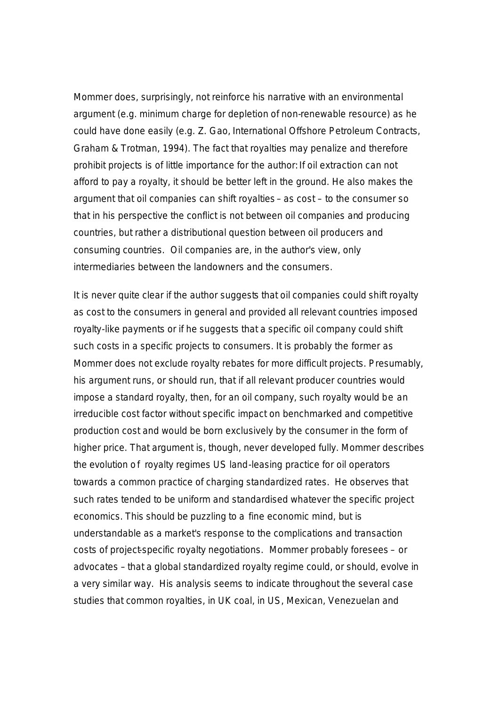Mommer does, surprisingly, not reinforce his narrative with an environmental argument (e.g. minimum charge for depletion of non-renewable resource) as he could have done easily (e.g. Z. Gao, *International Offshore Petroleum Contracts*, Graham & Trotman, 1994). The fact that royalties may penalize and therefore prohibit projects is of little importance for the author: If oil extraction can not afford to pay a royalty, it should be better left in the ground. He also makes the argument that oil companies can shift royalties – as cost – to the consumer so that in his perspective the conflict is not between oil companies and producing countries, but rather a distributional question between oil producers and consuming countries. Oil companies are, in the author's view, only intermediaries between the landowners and the consumers.

It is never quite clear if the author suggests that oil companies could shift royalty as cost to the consumers in general and provided all relevant countries imposed royalty-like payments or if he suggests that a specific oil company could shift such costs in a specific projects to consumers. It is probably the former as Mommer does not exclude royalty rebates for more difficult projects. Presumably, his argument runs, or should run, that if all relevant producer countries would impose a standard royalty, then, for an oil company, such royalty would be an irreducible cost factor without specific impact on benchmarked and competitive production cost and would be born exclusively by the consumer in the form of higher price. That argument is, though, never developed fully. Mommer describes the evolution of royalty regimes US land-leasing practice for oil operators towards a common practice of charging standardized rates. He observes that such rates tended to be uniform and standardised whatever the specific project economics. This should be puzzling to a fine economic mind, but is understandable as a market's response to the complications and transaction costs of project-specific royalty negotiations. Mommer probably foresees – or advocates – that a global standardized royalty regime could, or should, evolve in a very similar way. His analysis seems to indicate throughout the several case studies that common royalties, in UK coal, in US, Mexican, Venezuelan and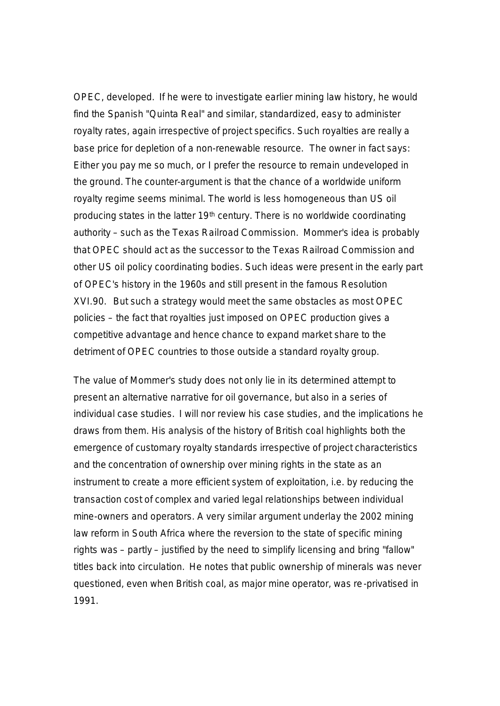OPEC, developed. If he were to investigate earlier mining law history, he would find the Spanish "Quinta Real" and similar, standardized, easy to administer royalty rates, again irrespective of project specifics. Such royalties are really a base price for depletion of a non-renewable resource. The owner in fact says: Either you pay me so much, or I prefer the resource to remain undeveloped in the ground. The counter-argument is that the chance of a worldwide uniform royalty regime seems minimal. The world is less homogeneous than US oil producing states in the latter 19th century. There is no worldwide coordinating authority – such as the Texas Railroad Commission. Mommer's idea is probably that OPEC should act as the successor to the Texas Railroad Commission and other US oil policy coordinating bodies. Such ideas were present in the early part of OPEC's history in the 1960s and still present in the famous Resolution XVI.90. But such a strategy would meet the same obstacles as most OPEC policies – the fact that royalties just imposed on OPEC production gives a competitive advantage and hence chance to expand market share to the detriment of OPEC countries to those outside a standard royalty group.

The value of Mommer's study does not only lie in its determined attempt to present an alternative narrative for oil governance, but also in a series of individual case studies. I will nor review his case studies, and the implications he draws from them. His analysis of the history of British coal highlights both the emergence of customary royalty standards irrespective of project characteristics and the concentration of ownership over mining rights in the state as an instrument to create a more efficient system of exploitation, i.e. by reducing the transaction cost of complex and varied legal relationships between individual mine-owners and operators. A very similar argument underlay the 2002 mining law reform in South Africa where the reversion to the state of specific mining rights was – partly – justified by the need to simplify licensing and bring "fallow" titles back into circulation. He notes that public ownership of minerals was never questioned, even when British coal, as major mine operator, was re-privatised in 1991.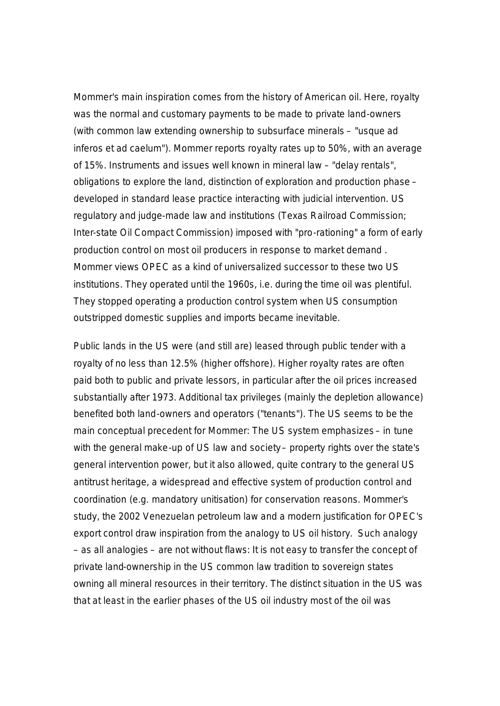Mommer's main inspiration comes from the history of American oil. Here, royalty was the normal and customary payments to be made to private land-owners (with common law extending ownership to subsurface minerals – "usque ad inferos et ad caelum"). Mommer reports royalty rates up to 50%, with an average of 15%. Instruments and issues well known in mineral law – "delay rentals", obligations to explore the land, distinction of exploration and production phase – developed in standard lease practice interacting with judicial intervention. US regulatory and judge-made law and institutions (Texas Railroad Commission; Inter-state Oil Compact Commission) imposed with "pro-rationing" a form of early production control on most oil producers in response to market demand . Mommer views OPEC as a kind of universalized successor to these two US institutions. They operated until the 1960s, i.e. during the time oil was plentiful. They stopped operating a production control system when US consumption outstripped domestic supplies and imports became inevitable.

Public lands in the US were (and still are) leased through public tender with a royalty of no less than 12.5% (higher offshore). Higher royalty rates are often paid both to public and private lessors, in particular after the oil prices increased substantially after 1973. Additional tax privileges (mainly the depletion allowance) benefited both land-owners and operators ("tenants"). The US seems to be the main conceptual precedent for Mommer: The US system emphasizes – in tune with the general make-up of US law and society- property rights over the state's general intervention power, but it also allowed, quite contrary to the general US antitrust heritage, a widespread and effective system of production control and coordination (e.g. mandatory unitisation) for conservation reasons. Mommer's study, the 2002 Venezuelan petroleum law and a modern justification for OPEC's export control draw inspiration from the analogy to US oil history. Such analogy – as all analogies – are not without flaws: It is not easy to transfer the concept of private land-ownership in the US common law tradition to sovereign states owning all mineral resources in their territory. The distinct situation in the US was that at least in the earlier phases of the US oil industry most of the oil was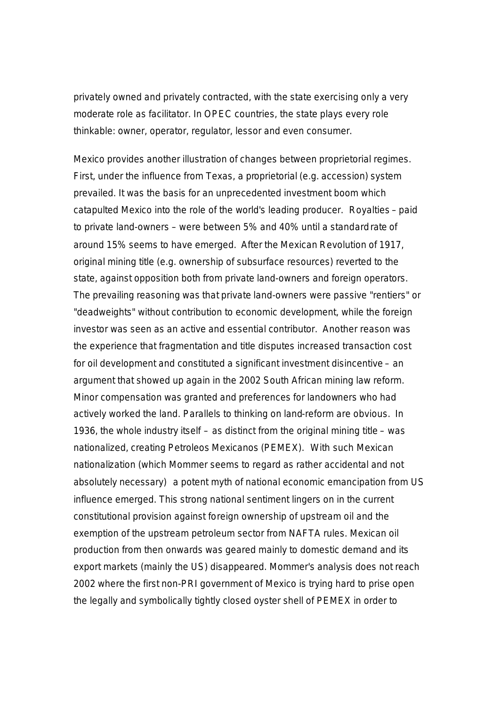privately owned and privately contracted, with the state exercising only a very moderate role as facilitator. In OPEC countries, the state plays every role thinkable: owner, operator, regulator, lessor and even consumer.

Mexico provides another illustration of changes between proprietorial regimes. First, under the influence from Texas, a proprietorial (e.g. accession) system prevailed. It was the basis for an unprecedented investment boom which catapulted Mexico into the role of the world's leading producer. Royalties – paid to private land-owners – were between 5% and 40% until a standard rate of around 15% seems to have emerged. After the Mexican Revolution of 1917, original mining title (e.g. ownership of subsurface resources) reverted to the state, against opposition both from private land-owners and foreign operators. The prevailing reasoning was that private land-owners were passive "rentiers" or "deadweights" without contribution to economic development, while the foreign investor was seen as an active and essential contributor. Another reason was the experience that fragmentation and title disputes increased transaction cost for oil development and constituted a significant investment disincentive – an argument that showed up again in the 2002 South African mining law reform. Minor compensation was granted and preferences for landowners who had actively worked the land. Parallels to thinking on land-reform are obvious. In 1936, the whole industry itself – as distinct from the original mining title – was nationalized, creating Petroleos Mexicanos (PEMEX). With such Mexican nationalization (which Mommer seems to regard as rather accidental and not absolutely necessary) a potent myth of national economic emancipation from US influence emerged. This strong national sentiment lingers on in the current constitutional provision against foreign ownership of upstream oil and the exemption of the upstream petroleum sector from NAFTA rules. Mexican oil production from then onwards was geared mainly to domestic demand and its export markets (mainly the US) disappeared. Mommer's analysis does not reach 2002 where the first non-PRI government of Mexico is trying hard to prise open the legally and symbolically tightly closed oyster shell of PEMEX in order to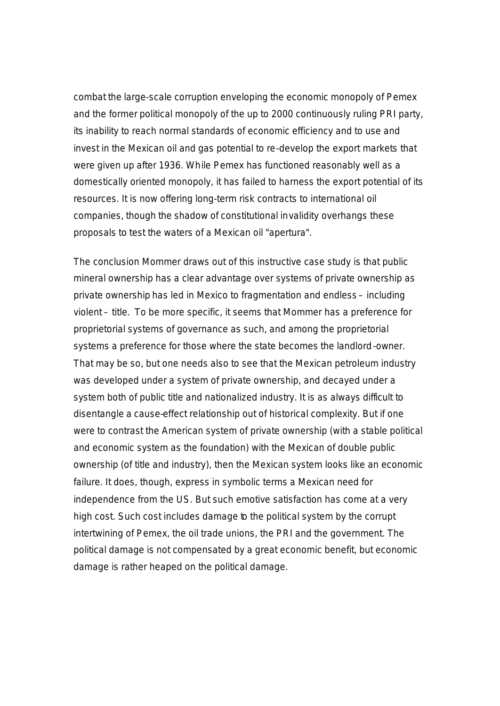combat the large-scale corruption enveloping the economic monopoly of Pemex and the former political monopoly of the up to 2000 continuously ruling PRI party, its inability to reach normal standards of economic efficiency and to use and invest in the Mexican oil and gas potential to re-develop the export markets that were given up after 1936. While Pemex has functioned reasonably well as a domestically oriented monopoly, it has failed to harness the export potential of its resources. It is now offering long-term risk contracts to international oil companies, though the shadow of constitutional invalidity overhangs these proposals to test the waters of a Mexican oil "apertura".

The conclusion Mommer draws out of this instructive case study is that public mineral ownership has a clear advantage over systems of private ownership as private ownership has led in Mexico to fragmentation and endless – including violent – title. To be more specific, it seems that Mommer has a preference for proprietorial systems of governance as such, and among the proprietorial systems a preference for those where the state becomes the landlord-owner. That may be so, but one needs also to see that the Mexican petroleum industry was developed under a system of private ownership, and decayed under a system both of public title and nationalized industry. It is as always difficult to disentangle a cause-effect relationship out of historical complexity. But if one were to contrast the American system of private ownership (with a stable political and economic system as the foundation) with the Mexican of double public ownership (of title and industry), then the Mexican system looks like an economic failure. It does, though, express in symbolic terms a Mexican need for independence from the US. But such emotive satisfaction has come at a very high cost. Such cost includes damage to the political system by the corrupt intertwining of Pemex, the oil trade unions, the PRI and the government. The political damage is not compensated by a great economic benefit, but economic damage is rather heaped on the political damage.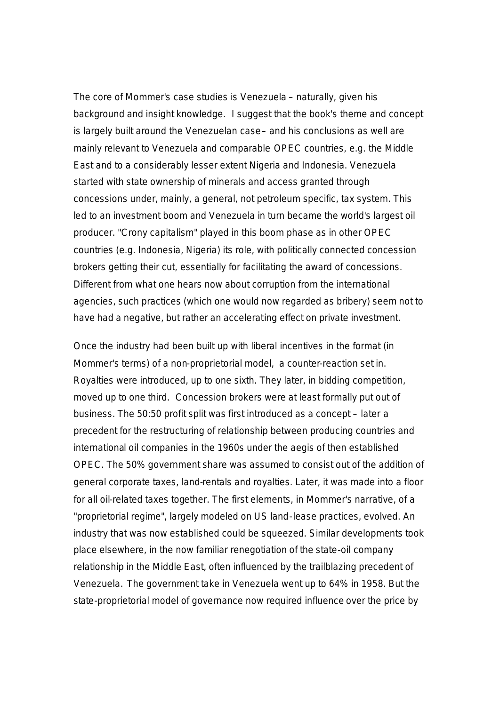The core of Mommer's case studies is Venezuela – naturally, given his background and insight knowledge. I suggest that the book's theme and concept is largely built around the Venezuelan case – and his conclusions as well are mainly relevant to Venezuela and comparable OPEC countries, e.g. the Middle East and to a considerably lesser extent Nigeria and Indonesia. Venezuela started with state ownership of minerals and access granted through concessions under, mainly, a general, not petroleum specific, tax system. This led to an investment boom and Venezuela in turn became the world's largest oil producer. "Crony capitalism" played in this boom phase as in other OPEC countries (e.g. Indonesia, Nigeria) its role, with politically connected concession brokers getting their cut, essentially for facilitating the award of concessions. Different from what one hears now about corruption from the international agencies, such practices (which one would now regarded as bribery) seem not to have had a negative, but rather an accelerating effect on private investment.

Once the industry had been built up with liberal incentives in the format (in Mommer's terms) of a non-proprietorial model, a counter-reaction set in. Royalties were introduced, up to one sixth. They later, in bidding competition, moved up to one third. Concession brokers were at least formally put out of business. The 50:50 profit split was first introduced as a concept – later a precedent for the restructuring of relationship between producing countries and international oil companies in the 1960s under the aegis of then established OPEC. The 50% government share was assumed to consist out of the addition of general corporate taxes, land-rentals and royalties. Later, it was made into a floor for all oil-related taxes together. The first elements, in Mommer's narrative, of a "proprietorial regime", largely modeled on US land-lease practices, evolved. An industry that was now established could be squeezed. Similar developments took place elsewhere, in the now familiar renegotiation of the state-oil company relationship in the Middle East, often influenced by the trailblazing precedent of Venezuela. The government take in Venezuela went up to 64% in 1958. But the state-proprietorial model of governance now required influence over the price by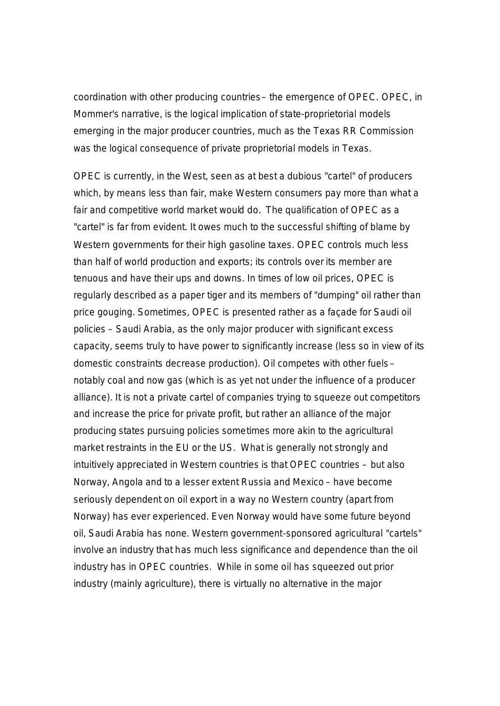coordination with other producing countries – the emergence of OPEC. OPEC, in Mommer's narrative, is the logical implication of state-proprietorial models emerging in the major producer countries, much as the Texas RR Commission was the logical consequence of private proprietorial models in Texas.

OPEC is currently, in the West, seen as at best a dubious "cartel" of producers which, by means less than fair, make Western consumers pay more than what a fair and competitive world market would do. The qualification of OPEC as a "cartel" is far from evident. It owes much to the successful shifting of blame by Western governments for their high gasoline taxes. OPEC controls much less than half of world production and exports; its controls over its member are tenuous and have their ups and downs. In times of low oil prices, OPEC is regularly described as a paper tiger and its members of "dumping" oil rather than price gouging. Sometimes, OPEC is presented rather as a façade for Saudi oil policies – Saudi Arabia, as the only major producer with significant excess capacity, seems truly to have power to significantly increase (less so in view of its domestic constraints decrease production). Oil competes with other fuels – notably coal and now gas (which is as yet not under the influence of a producer alliance). It is not a private cartel of companies trying to squeeze out competitors and increase the price for private profit, but rather an alliance of the major producing states pursuing policies sometimes more akin to the agricultural market restraints in the EU or the US. What is generally not strongly and intuitively appreciated in Western countries is that OPEC countries – but also Norway, Angola and to a lesser extent Russia and Mexico – have become seriously dependent on oil export in a way no Western country (apart from Norway) has ever experienced. Even Norway would have some future beyond oil, Saudi Arabia has none. Western government-sponsored agricultural "cartels" involve an industry that has much less significance and dependence than the oil industry has in OPEC countries. While in some oil has squeezed out prior industry (mainly agriculture), there is virtually no alternative in the major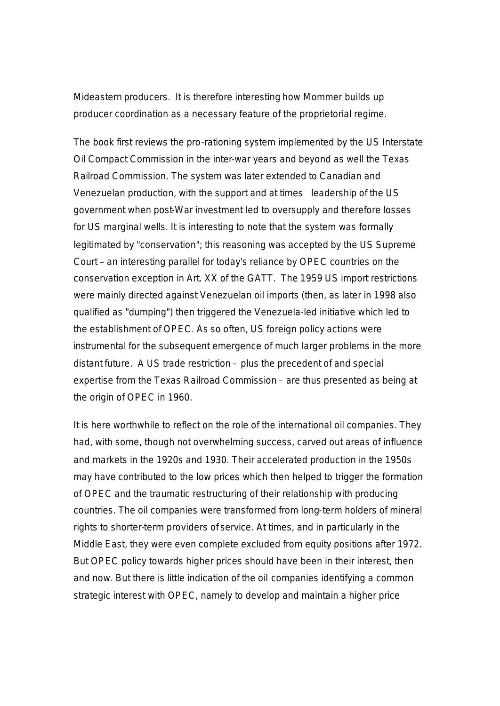Mideastern producers. It is therefore interesting how Mommer builds up producer coordination as a necessary feature of the proprietorial regime.

The book first reviews the pro-rationing system implemented by the US Interstate Oil Compact Commission in the inter-war years and beyond as well the Texas Railroad Commission. The system was later extended to Canadian and Venezuelan production, with the support and at times leadership of the US government when post-War investment led to oversupply and therefore losses for US marginal wells. It is interesting to note that the system was formally legitimated by "conservation"; this reasoning was accepted by the US Supreme Court – an interesting parallel for today's reliance by OPEC countries on the conservation exception in Art. XX of the GATT. The 1959 US import restrictions were mainly directed against Venezuelan oil imports (then, as later in 1998 also qualified as "dumping") then triggered the Venezuela-led initiative which led to the establishment of OPEC. As so often, US foreign policy actions were instrumental for the subsequent emergence of much larger problems in the more distant future. A US trade restriction – plus the precedent of and special expertise from the Texas Railroad Commission – are thus presented as being at the origin of OPEC in 1960.

It is here worthwhile to reflect on the role of the international oil companies. They had, with some, though not overwhelming success, carved out areas of influence and markets in the 1920s and 1930. Their accelerated production in the 1950s may have contributed to the low prices which then helped to trigger the formation of OPEC and the traumatic restructuring of their relationship with producing countries. The oil companies were transformed from long-term holders of mineral rights to shorter-term providers of service. At times, and in particularly in the Middle East, they were even complete excluded from equity positions after 1972. But OPEC policy towards higher prices should have been in their interest, then and now. But there is little indication of the oil companies identifying a common strategic interest with OPEC, namely to develop and maintain a higher price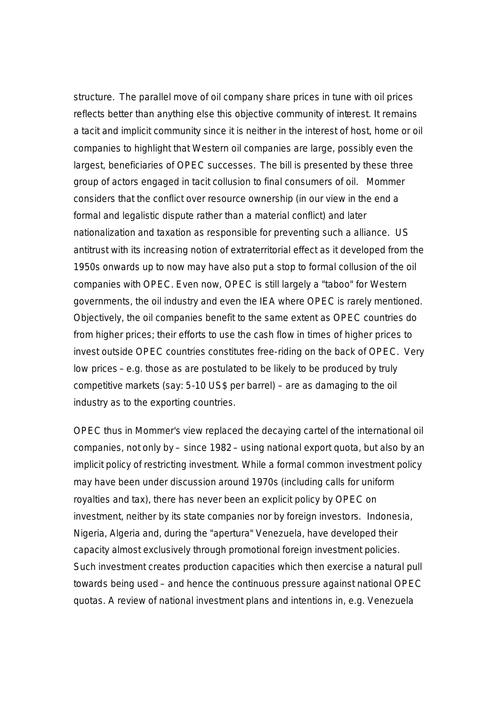structure. The parallel move of oil company share prices in tune with oil prices reflects better than anything else this objective community of interest. It remains a tacit and implicit community since it is neither in the interest of host, home or oil companies to highlight that Western oil companies are large, possibly even the largest, beneficiaries of OPEC successes. The bill is presented by these three group of actors engaged in tacit collusion to final consumers of oil. Mommer considers that the conflict over resource ownership (in our view in the end a formal and legalistic dispute rather than a material conflict) and later nationalization and taxation as responsible for preventing such a alliance. US antitrust with its increasing notion of extraterritorial effect as it developed from the 1950s onwards up to now may have also put a stop to formal collusion of the oil companies with OPEC. Even now, OPEC is still largely a "taboo" for Western governments, the oil industry and even the IEA where OPEC is rarely mentioned. Objectively, the oil companies benefit to the same extent as OPEC countries do from higher prices; their efforts to use the cash flow in times of higher prices to invest outside OPEC countries constitutes free-riding on the back of OPEC. Very low prices – e.g. those as are postulated to be likely to be produced by truly competitive markets (say: 5-10 US\$ per barrel) – are as damaging to the oil industry as to the exporting countries.

OPEC thus in Mommer's view replaced the decaying cartel of the international oil companies, not only by – since 1982 – using national export quota, but also by an implicit policy of restricting investment. While a formal common investment policy may have been under discussion around 1970s (including calls for uniform royalties and tax), there has never been an explicit policy by OPEC on investment, neither by its state companies nor by foreign investors. Indonesia, Nigeria, Algeria and, during the "apertura" Venezuela, have developed their capacity almost exclusively through promotional foreign investment policies. Such investment creates production capacities which then exercise a natural pull towards being used – and hence the continuous pressure against national OPEC quotas. A review of national investment plans and intentions in, e.g. Venezuela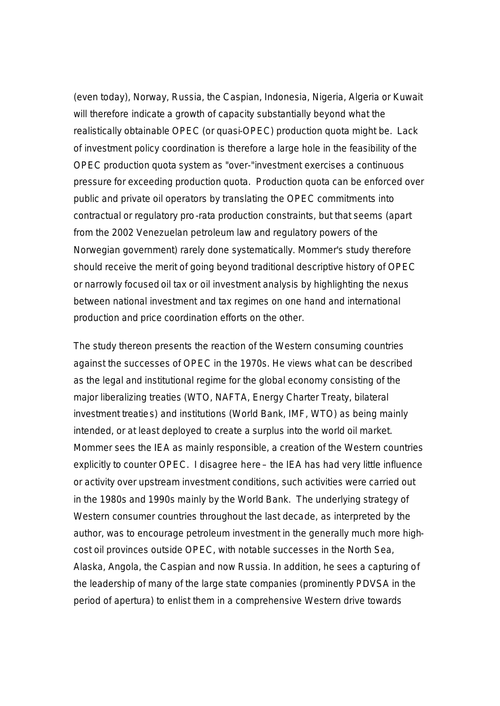(even today), Norway, Russia, the Caspian, Indonesia, Nigeria, Algeria or Kuwait will therefore indicate a growth of capacity substantially beyond what the realistically obtainable OPEC (or quasi-OPEC) production quota might be. Lack of investment policy coordination is therefore a large hole in the feasibility of the OPEC production quota system as "over-"investment exercises a continuous pressure for exceeding production quota. Production quota can be enforced over public and private oil operators by translating the OPEC commitments into contractual or regulatory pro-rata production constraints, but that seems (apart from the 2002 Venezuelan petroleum law and regulatory powers of the Norwegian government) rarely done systematically. Mommer's study therefore should receive the merit of going beyond traditional descriptive history of OPEC or narrowly focused oil tax or oil investment analysis by highlighting the nexus between national investment and tax regimes on one hand and international production and price coordination efforts on the other.

The study thereon presents the reaction of the Western consuming countries against the successes of OPEC in the 1970s. He views what can be described as the legal and institutional regime for the global economy consisting of the major liberalizing treaties (WTO, NAFTA, Energy Charter Treaty, bilateral investment treaties) and institutions (World Bank, IMF, WTO) as being mainly intended, or at least deployed to create a surplus into the world oil market. Mommer sees the IEA as mainly responsible, a creation of the Western countries explicitly to counter OPEC. I disagree here – the IEA has had very little influence or activity over upstream investment conditions, such activities were carried out in the 1980s and 1990s mainly by the World Bank. The underlying strategy of Western consumer countries throughout the last decade, as interpreted by the author, was to encourage petroleum investment in the generally much more highcost oil provinces outside OPEC, with notable successes in the North Sea, Alaska, Angola, the Caspian and now Russia. In addition, he sees a capturing of the leadership of many of the large state companies (prominently PDVSA in the period of apertura) to enlist them in a comprehensive Western drive towards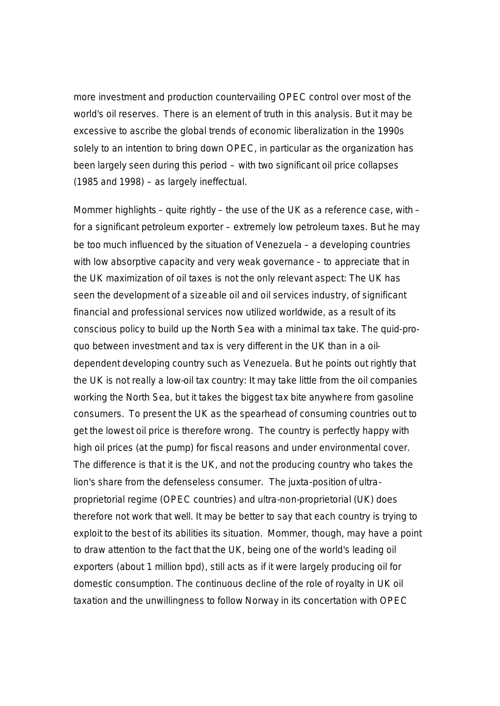more investment and production countervailing OPEC control over most of the world's oil reserves. There is an element of truth in this analysis. But it may be excessive to ascribe the global trends of economic liberalization in the 1990s solely to an intention to bring down OPEC, in particular as the organization has been largely seen during this period – with two significant oil price collapses (1985 and 1998) – as largely ineffectual.

Mommer highlights – quite rightly – the use of the UK as a reference case, with – for a significant petroleum exporter – extremely low petroleum taxes. But he may be too much influenced by the situation of Venezuela – a developing countries with low absorptive capacity and very weak governance – to appreciate that in the UK maximization of oil taxes is not the only relevant aspect: The UK has seen the development of a sizeable oil and oil services industry, of significant financial and professional services now utilized worldwide, as a result of its conscious policy to build up the North Sea with a minimal tax take. The quid-proquo between investment and tax is very different in the UK than in a oildependent developing country such as Venezuela. But he points out rightly that the UK is not really a low-oil tax country: It may take little from the oil companies working the North Sea, but it takes the biggest tax bite anywhere from gasoline consumers. To present the UK as the spearhead of consuming countries out to get the lowest oil price is therefore wrong. The country is perfectly happy with high oil prices (at the pump) for fiscal reasons and under environmental cover. The difference is that it is the UK, and not the producing country who takes the lion's share from the defenseless consumer. The juxta-position of ultraproprietorial regime (OPEC countries) and ultra-non-proprietorial (UK) does therefore not work that well. It may be better to say that each country is trying to exploit to the best of its abilities its situation. Mommer, though, may have a point to draw attention to the fact that the UK, being one of the world's leading oil exporters (about 1 million bpd), still acts as if it were largely producing oil for domestic consumption. The continuous decline of the role of royalty in UK oil taxation and the unwillingness to follow Norway in its concertation with OPEC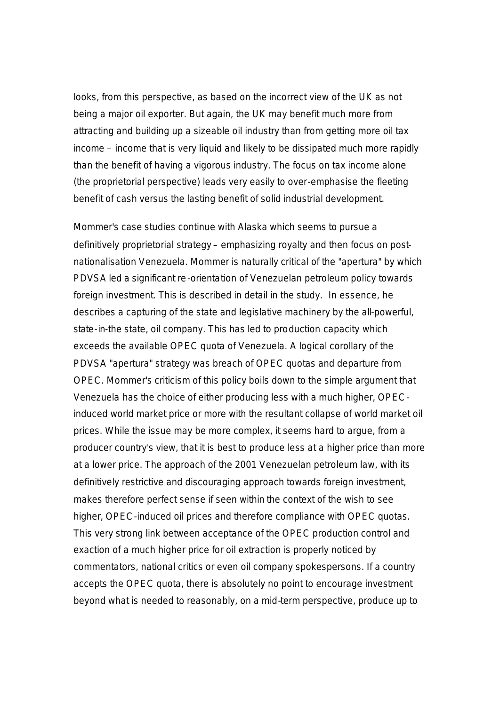looks, from this perspective, as based on the incorrect view of the UK as not being a major oil exporter. But again, the UK may benefit much more from attracting and building up a sizeable oil industry than from getting more oil tax income – income that is very liquid and likely to be dissipated much more rapidly than the benefit of having a vigorous industry. The focus on tax income alone (the proprietorial perspective) leads very easily to over-emphasise the fleeting benefit of cash versus the lasting benefit of solid industrial development.

Mommer's case studies continue with Alaska which seems to pursue a definitively proprietorial strategy – emphasizing royalty and then focus on postnationalisation Venezuela. Mommer is naturally critical of the "apertura" by which PDVSA led a significant re-orientation of Venezuelan petroleum policy towards foreign investment. This is described in detail in the study. In essence, he describes a capturing of the state and legislative machinery by the all-powerful, state-in-the state, oil company. This has led to production capacity which exceeds the available OPEC quota of Venezuela. A logical corollary of the PDVSA "apertura" strategy was breach of OPEC quotas and departure from OPEC. Mommer's criticism of this policy boils down to the simple argument that Venezuela has the choice of either producing less with a much higher, OPECinduced world market price or more with the resultant collapse of world market oil prices. While the issue may be more complex, it seems hard to argue, from a producer country's view, that it is best to produce less at a higher price than more at a lower price. The approach of the 2001 Venezuelan petroleum law, with its definitively restrictive and discouraging approach towards foreign investment, makes therefore perfect sense if seen within the context of the wish to see higher, OPEC-induced oil prices and therefore compliance with OPEC quotas. This very strong link between acceptance of the OPEC production control and exaction of a much higher price for oil extraction is properly noticed by commentators, national critics or even oil company spokespersons. If a country accepts the OPEC quota, there is absolutely no point to encourage investment beyond what is needed to reasonably, on a mid-term perspective, produce up to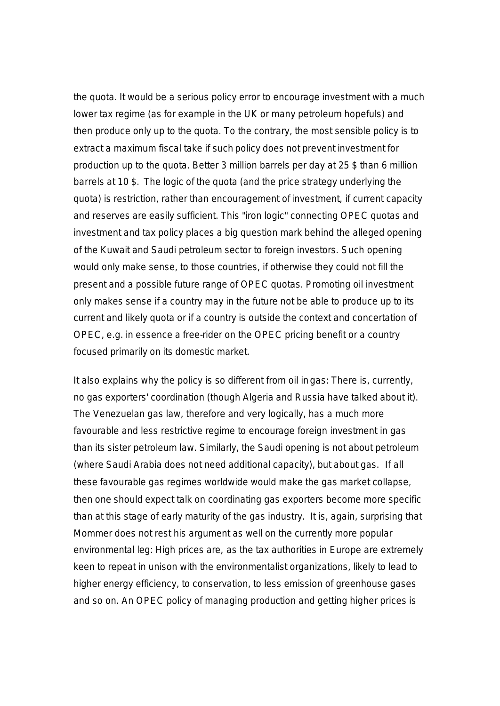the quota. It would be a serious policy error to encourage investment with a much lower tax regime (as for example in the UK or many petroleum hopefuls) and then produce only up to the quota. To the contrary, the most sensible policy is to extract a maximum fiscal take if such policy does not prevent investment for production up to the quota. Better 3 million barrels per day at 25 \$ than 6 million barrels at 10 \$. The logic of the quota (and the price strategy underlying the quota) is restriction, rather than encouragement of investment, if current capacity and reserves are easily sufficient. This "iron logic" connecting OPEC quotas and investment and tax policy places a big question mark behind the alleged opening of the Kuwait and Saudi petroleum sector to foreign investors. Such opening would only make sense, to those countries, if otherwise they could not fill the present and a possible future range of OPEC quotas. Promoting oil investment only makes sense if a country may in the future not be able to produce up to its current and likely quota or if a country is outside the context and concertation of OPEC, e.g. in essence a free-rider on the OPEC pricing benefit or a country focused primarily on its domestic market.

It also explains why the policy is so different from oil in gas: There is, currently, no gas exporters' coordination (though Algeria and Russia have talked about it). The Venezuelan gas law, therefore and very logically, has a much more favourable and less restrictive regime to encourage foreign investment in gas than its sister petroleum law. Similarly, the Saudi opening is not about petroleum (where Saudi Arabia does not need additional capacity), but about gas. If all these favourable gas regimes worldwide would make the gas market collapse, then one should expect talk on coordinating gas exporters become more specific than at this stage of early maturity of the gas industry. It is, again, surprising that Mommer does not rest his argument as well on the currently more popular environmental leg: High prices are, as the tax authorities in Europe are extremely keen to repeat in unison with the environmentalist organizations, likely to lead to higher energy efficiency, to conservation, to less emission of greenhouse gases and so on. An OPEC policy of managing production and getting higher prices is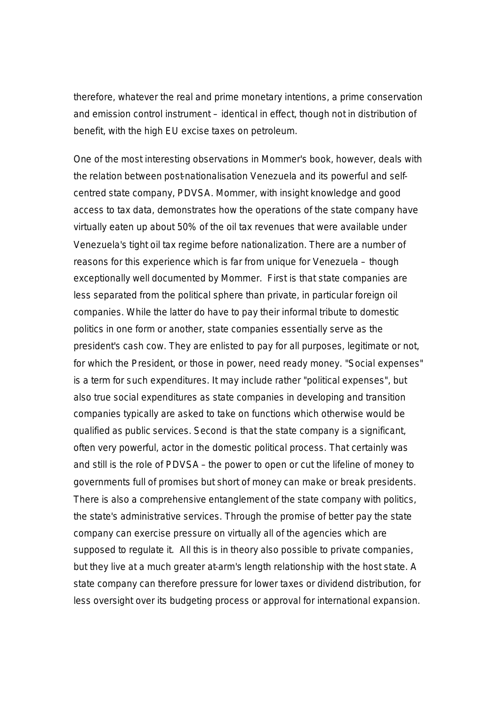therefore, whatever the real and prime monetary intentions, a prime conservation and emission control instrument – identical in effect, though not in distribution of benefit, with the high EU excise taxes on petroleum.

One of the most interesting observations in Mommer's book, however, deals with the relation between post-nationalisation Venezuela and its powerful and selfcentred state company, PDVSA. Mommer, with insight knowledge and good access to tax data, demonstrates how the operations of the state company have virtually eaten up about 50% of the oil tax revenues that were available under Venezuela's tight oil tax regime before nationalization. There are a number of reasons for this experience which is far from unique for Venezuela – though exceptionally well documented by Mommer. First is that state companies are less separated from the political sphere than private, in particular foreign oil companies. While the latter do have to pay their informal tribute to domestic politics in one form or another, state companies essentially serve as the president's cash cow. They are enlisted to pay for all purposes, legitimate or not, for which the President, or those in power, need ready money. "Social expenses" is a term for such expenditures. It may include rather "political expenses", but also true social expenditures as state companies in developing and transition companies typically are asked to take on functions which otherwise would be qualified as public services. Second is that the state company is a significant, often very powerful, actor in the domestic political process. That certainly was and still is the role of PDVSA – the power to open or cut the lifeline of money to governments full of promises but short of money can make or break presidents. There is also a comprehensive entanglement of the state company with politics, the state's administrative services. Through the promise of better pay the state company can exercise pressure on virtually all of the agencies which are supposed to regulate it. All this is in theory also possible to private companies, but they live at a much greater at-arm's length relationship with the host state. A state company can therefore pressure for lower taxes or dividend distribution, for less oversight over its budgeting process or approval for international expansion.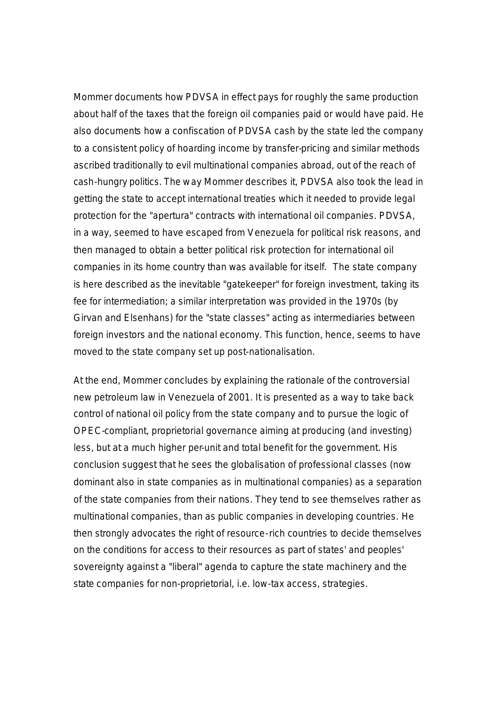Mommer documents how PDVSA in effect pays for roughly the same production about half of the taxes that the foreign oil companies paid or would have paid. He also documents how a confiscation of PDVSA cash by the state led the company to a consistent policy of hoarding income by transfer-pricing and similar methods ascribed traditionally to evil multinational companies abroad, out of the reach of cash-hungry politics. The way Mommer describes it, PDVSA also took the lead in getting the state to accept international treaties which it needed to provide legal protection for the "apertura" contracts with international oil companies. PDVSA, in a way, seemed to have escaped from Venezuela for political risk reasons, and then managed to obtain a better political risk protection for international oil companies in its home country than was available for itself. The state company is here described as the inevitable "gatekeeper" for foreign investment, taking its fee for intermediation; a similar interpretation was provided in the 1970s (by Girvan and Elsenhans) for the "state classes" acting as intermediaries between foreign investors and the national economy. This function, hence, seems to have moved to the state company set up post-nationalisation.

At the end, Mommer concludes by explaining the rationale of the controversial new petroleum law in Venezuela of 2001. It is presented as a way to take back control of national oil policy from the state company and to pursue the logic of OPEC-compliant, proprietorial governance aiming at producing (and investing) less, but at a much higher per-unit and total benefit for the government. His conclusion suggest that he sees the globalisation of professional classes (now dominant also in state companies as in multinational companies) as a separation of the state companies from their nations. They tend to see themselves rather as multinational companies, than as public companies in developing countries. He then strongly advocates the right of resource-rich countries to decide themselves on the conditions for access to their resources as part of states' and peoples' sovereignty against a "liberal" agenda to capture the state machinery and the state companies for non-proprietorial, i.e. low-tax access, strategies.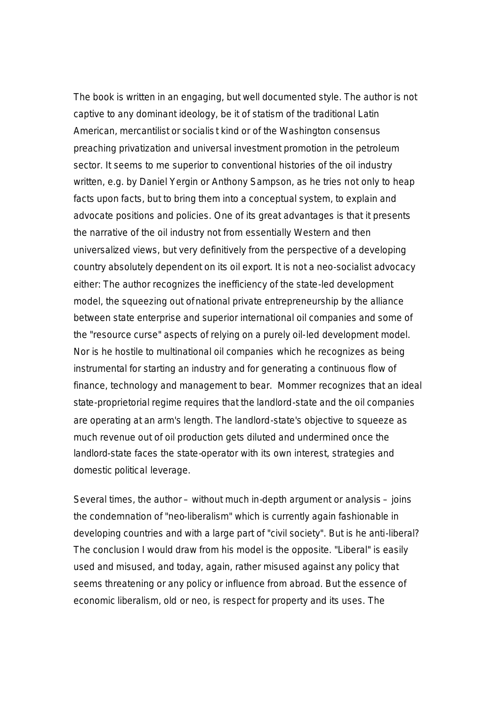The book is written in an engaging, but well documented style. The author is not captive to any dominant ideology, be it of statism of the traditional Latin American, mercantilist or socialis t kind or of the Washington consensus preaching privatization and universal investment promotion in the petroleum sector. It seems to me superior to conventional histories of the oil industry written, e.g. by Daniel Yergin or Anthony Sampson, as he tries not only to heap facts upon facts, but to bring them into a conceptual system, to explain and advocate positions and policies. One of its great advantages is that it presents the narrative of the oil industry not from essentially Western and then universalized views, but very definitively from the perspective of a developing country absolutely dependent on its oil export. It is not a neo-socialist advocacy either: The author recognizes the inefficiency of the state-led development model, the squeezing out of national private entrepreneurship by the alliance between state enterprise and superior international oil companies and some of the "resource curse" aspects of relying on a purely oil-led development model. Nor is he hostile to multinational oil companies which he recognizes as being instrumental for starting an industry and for generating a continuous flow of finance, technology and management to bear. Mommer recognizes that an ideal state-proprietorial regime requires that the landlord-state and the oil companies are operating at an arm's length. The landlord-state's objective to squeeze as much revenue out of oil production gets diluted and undermined once the landlord-state faces the state-operator with its own interest, strategies and domestic political leverage.

Several times, the author – without much in-depth argument or analysis – joins the condemnation of "neo-liberalism" which is currently again fashionable in developing countries and with a large part of "civil society". But is he anti-liberal? The conclusion I would draw from his model is the opposite. "Liberal" is easily used and misused, and today, again, rather misused against any policy that seems threatening or any policy or influence from abroad. But the essence of economic liberalism, old or neo, is respect for property and its uses. The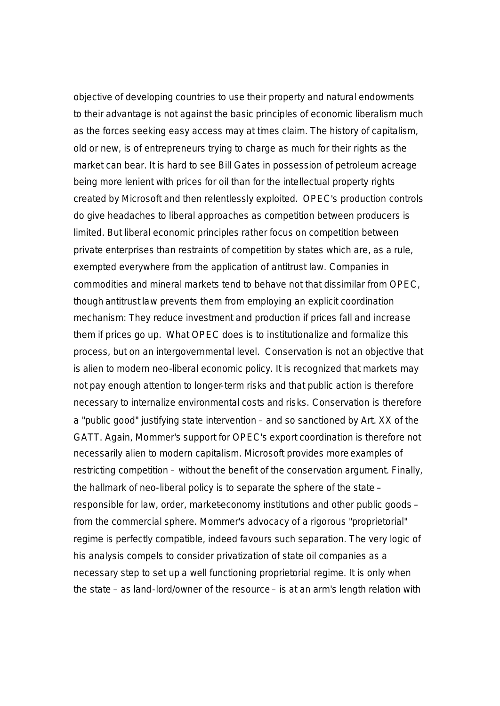objective of developing countries to use their property and natural endowments to their advantage is not against the basic principles of economic liberalism much as the forces seeking easy access may at times claim. The history of capitalism, old or new, is of entrepreneurs trying to charge as much for their rights as the market can bear. It is hard to see Bill Gates in possession of petroleum acreage being more lenient with prices for oil than for the intellectual property rights created by Microsoft and then relentlessly exploited. OPEC's production controls do give headaches to liberal approaches as competition between producers is limited. But liberal economic principles rather focus on competition between private enterprises than restraints of competition by states which are, as a rule, exempted everywhere from the application of antitrust law. Companies in commodities and mineral markets tend to behave not that dissimilar from OPEC, though antitrust law prevents them from employing an explicit coordination mechanism: They reduce investment and production if prices fall and increase them if prices go up. What OPEC does is to institutionalize and formalize this process, but on an intergovernmental level. Conservation is not an objective that is alien to modern neo-liberal economic policy. It is recognized that markets may not pay enough attention to longer-term risks and that public action is therefore necessary to internalize environmental costs and risks. Conservation is therefore a "public good" justifying state intervention – and so sanctioned by Art. XX of the GATT. Again, Mommer's support for OPEC's export coordination is therefore not necessarily alien to modern capitalism. Microsoft provides more examples of restricting competition – without the benefit of the conservation argument. Finally, the hallmark of neo-liberal policy is to separate the sphere of the state – responsible for law, order, market-economy institutions and other public goods – from the commercial sphere. Mommer's advocacy of a rigorous "proprietorial" regime is perfectly compatible, indeed favours such separation. The very logic of his analysis compels to consider privatization of state oil companies as a necessary step to set up a well functioning proprietorial regime. It is only when the state – as land-lord/owner of the resource – is at an arm's length relation with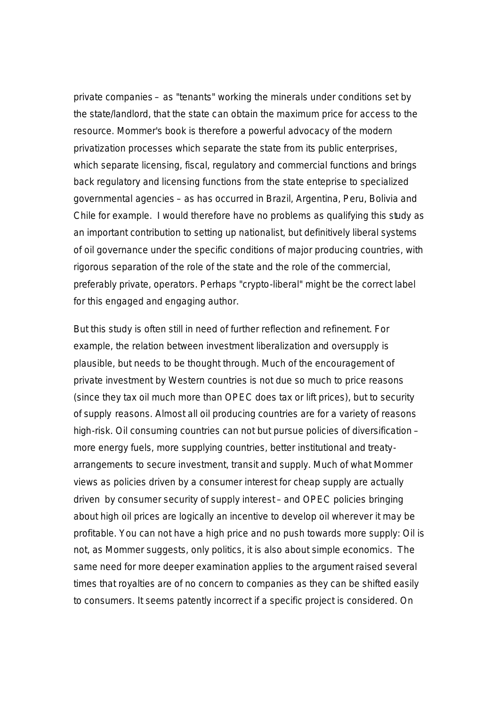private companies – as "tenants" working the minerals under conditions set by the state/landlord, that the state can obtain the maximum price for access to the resource. Mommer's book is therefore a powerful advocacy of the modern privatization processes which separate the state from its public enterprises, which separate licensing, fiscal, regulatory and commercial functions and brings back regulatory and licensing functions from the state enteprise to specialized governmental agencies – as has occurred in Brazil, Argentina, Peru, Bolivia and Chile for example. I would therefore have no problems as qualifying this study as an important contribution to setting up nationalist, but definitively liberal systems of oil governance under the specific conditions of major producing countries, with rigorous separation of the role of the state and the role of the commercial, preferably private, operators. Perhaps "crypto-liberal" might be the correct label for this engaged and engaging author.

But this study is often still in need of further reflection and refinement. For example, the relation between investment liberalization and oversupply is plausible, but needs to be thought through. Much of the encouragement of private investment by Western countries is not due so much to price reasons (since they tax oil much more than OPEC does tax or lift prices), but to security of supply reasons. Almost all oil producing countries are for a variety of reasons high-risk. Oil consuming countries can not but pursue policies of diversification – more energy fuels, more supplying countries, better institutional and treatyarrangements to secure investment, transit and supply. Much of what Mommer views as policies driven by a consumer interest for cheap supply are actually driven by consumer security of supply interest – and OPEC policies bringing about high oil prices are logically an incentive to develop oil wherever it may be profitable. You can not have a high price and no push towards more supply: Oil is not, as Mommer suggests, only politics, it is also about simple economics. The same need for more deeper examination applies to the argument raised several times that royalties are of no concern to companies as they can be shifted easily to consumers. It seems patently incorrect if a specific project is considered. On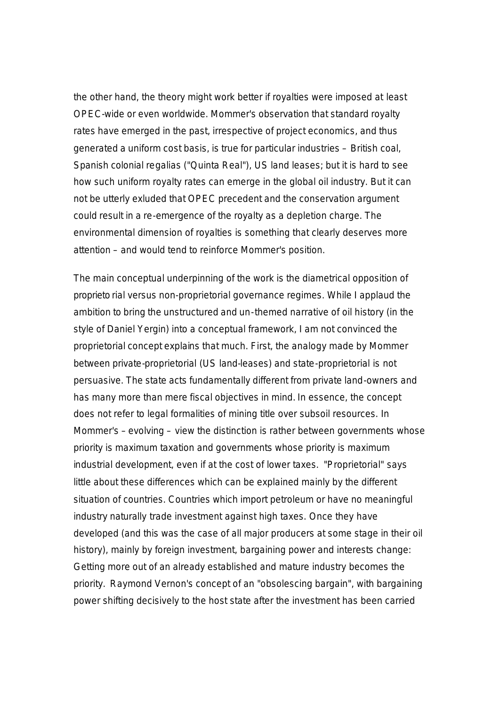the other hand, the theory might work better if royalties were imposed at least OPEC-wide or even worldwide. Mommer's observation that standard royalty rates have emerged in the past, irrespective of project economics, and thus generated a uniform cost basis, is true for particular industries – British coal, Spanish colonial regalias ("Quinta Real"), US land leases; but it is hard to see how such uniform royalty rates can emerge in the global oil industry. But it can not be utterly exluded that OPEC precedent and the conservation argument could result in a re-emergence of the royalty as a depletion charge. The environmental dimension of royalties is something that clearly deserves more attention – and would tend to reinforce Mommer's position.

The main conceptual underpinning of the work is the diametrical opposition of proprieto rial versus non-proprietorial governance regimes. While I applaud the ambition to bring the unstructured and un-themed narrative of oil history (in the style of Daniel Yergin) into a conceptual framework, I am not convinced the proprietorial concept explains that much. First, the analogy made by Mommer between private-proprietorial (US land-leases) and state-proprietorial is not persuasive. The state acts fundamentally different from private land-owners and has many more than mere fiscal objectives in mind. In essence, the concept does not refer to legal formalities of mining title over subsoil resources. In Mommer's – evolving – view the distinction is rather between governments whose priority is maximum taxation and governments whose priority is maximum industrial development, even if at the cost of lower taxes. "Proprietorial" says little about these differences which can be explained mainly by the different situation of countries. Countries which import petroleum or have no meaningful industry naturally trade investment against high taxes. Once they have developed (and this was the case of all major producers at some stage in their oil history), mainly by foreign investment, bargaining power and interests change: Getting more out of an already established and mature industry becomes the priority. Raymond Vernon's concept of an "obsolescing bargain", with bargaining power shifting decisively to the host state after the investment has been carried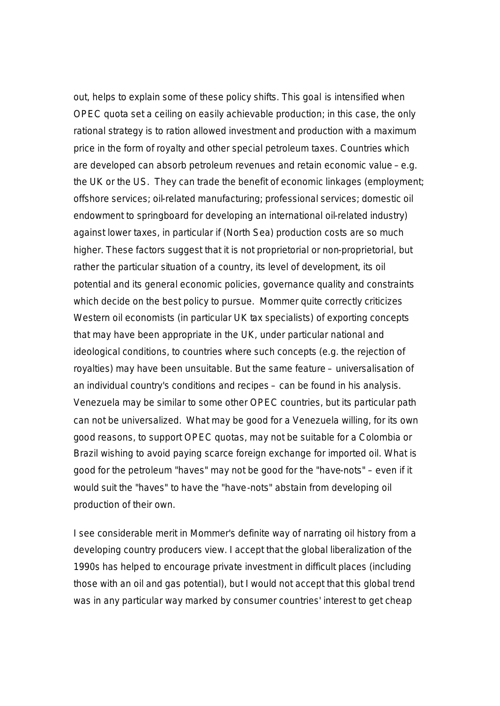out, helps to explain some of these policy shifts. This goal is intensified when OPEC quota set a ceiling on easily achievable production; in this case, the only rational strategy is to ration allowed investment and production with a maximum price in the form of royalty and other special petroleum taxes. Countries which are developed can absorb petroleum revenues and retain economic value – e.g. the UK or the US. They can trade the benefit of economic linkages (employment; offshore services; oil-related manufacturing; professional services; domestic oil endowment to springboard for developing an international oil-related industry) against lower taxes, in particular if (North Sea) production costs are so much higher. These factors suggest that it is not proprietorial or non-proprietorial, but rather the particular situation of a country, its level of development, its oil potential and its general economic policies, governance quality and constraints which decide on the best policy to pursue. Mommer quite correctly criticizes Western oil economists (in particular UK tax specialists) of exporting concepts that may have been appropriate in the UK, under particular national and ideological conditions, to countries where such concepts (e.g. the rejection of royalties) may have been unsuitable. But the same feature – universalisation of an individual country's conditions and recipes – can be found in his analysis. Venezuela may be similar to some other OPEC countries, but its particular path can not be universalized. What may be good for a Venezuela willing, for its own good reasons, to support OPEC quotas, may not be suitable for a Colombia or Brazil wishing to avoid paying scarce foreign exchange for imported oil. What is good for the petroleum "haves" may not be good for the "have-nots" – even if it would suit the "haves" to have the "have-nots" abstain from developing oil production of their own.

I see considerable merit in Mommer's definite way of narrating oil history from a developing country producers view. I accept that the global liberalization of the 1990s has helped to encourage private investment in difficult places (including those with an oil and gas potential), but I would not accept that this global trend was in any particular way marked by consumer countries' interest to get cheap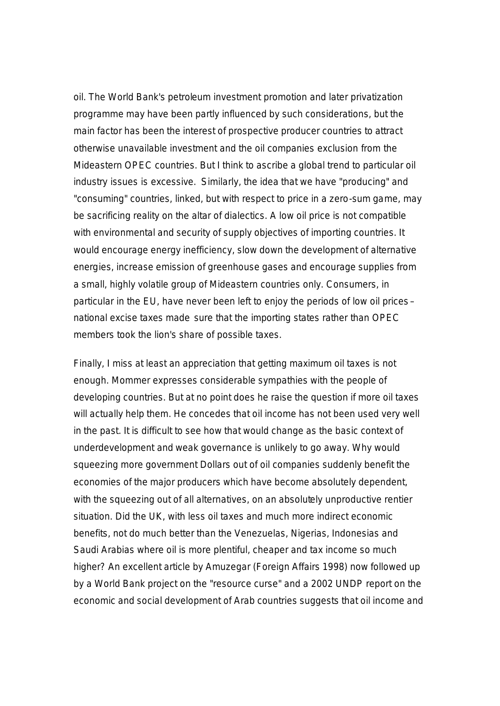oil. The World Bank's petroleum investment promotion and later privatization programme may have been partly influenced by such considerations, but the main factor has been the interest of prospective producer countries to attract otherwise unavailable investment and the oil companies exclusion from the Mideastern OPEC countries. But I think to ascribe a global trend to particular oil industry issues is excessive. Similarly, the idea that we have "producing" and "consuming" countries, linked, but with respect to price in a zero-sum game, may be sacrificing reality on the altar of dialectics. A low oil price is not compatible with environmental and security of supply objectives of importing countries. It would encourage energy inefficiency, slow down the development of alternative energies, increase emission of greenhouse gases and encourage supplies from a small, highly volatile group of Mideastern countries only. Consumers, in particular in the EU, have never been left to enjoy the periods of low oil prices – national excise taxes made sure that the importing states rather than OPEC members took the lion's share of possible taxes.

Finally, I miss at least an appreciation that getting maximum oil taxes is not enough. Mommer expresses considerable sympathies with the people of developing countries. But at no point does he raise the question if more oil taxes will actually help them. He concedes that oil income has not been used very well in the past. It is difficult to see how that would change as the basic context of underdevelopment and weak governance is unlikely to go away. Why would squeezing more government Dollars out of oil companies suddenly benefit the economies of the major producers which have become absolutely dependent, with the squeezing out of all alternatives, on an absolutely unproductive rentier situation. Did the UK, with less oil taxes and much more indirect economic benefits, not do much better than the Venezuelas, Nigerias, Indonesias and Saudi Arabias where oil is more plentiful, cheaper and tax income so much higher? An excellent article by Amuzegar (Foreign Affairs 1998) now followed up by a World Bank project on the "resource curse" and a 2002 UNDP report on the economic and social development of Arab countries suggests that oil income and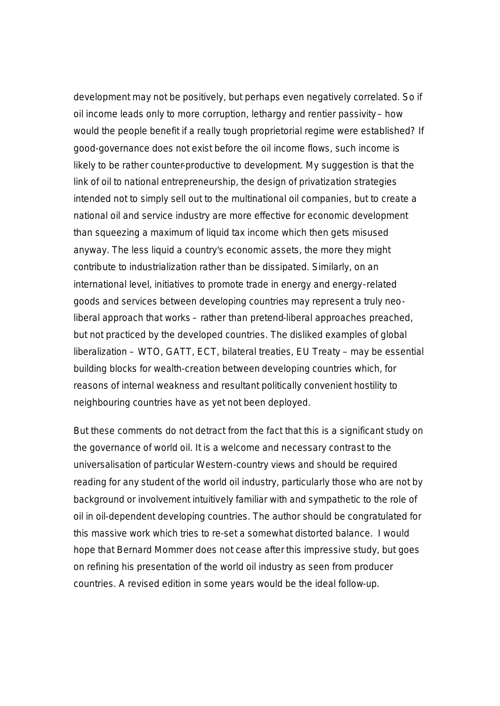development may not be positively, but perhaps even negatively correlated. So if oil income leads only to more corruption, lethargy and rentier passivity – how would the people benefit if a really tough proprietorial regime were established? If good-governance does not exist before the oil income flows, such income is likely to be rather counter-productive to development. My suggestion is that the link of oil to national entrepreneurship, the design of privatization strategies intended not to simply sell out to the multinational oil companies, but to create a national oil and service industry are more effective for economic development than squeezing a maximum of liquid tax income which then gets misused anyway. The less liquid a country's economic assets, the more they might contribute to industrialization rather than be dissipated. Similarly, on an international level, initiatives to promote trade in energy and energy-related goods and services between developing countries may represent a truly neoliberal approach that works – rather than pretend-liberal approaches preached, but not practiced by the developed countries. The disliked examples of global liberalization – WTO, GATT, ECT, bilateral treaties, EU Treaty – may be essential building blocks for wealth-creation between developing countries which, for reasons of internal weakness and resultant politically convenient hostility to neighbouring countries have as yet not been deployed.

But these comments do not detract from the fact that this is a significant study on the governance of world oil. It is a welcome and necessary contrast to the universalisation of particular Western-country views and should be required reading for any student of the world oil industry, particularly those who are not by background or involvement intuitively familiar with and sympathetic to the role of oil in oil-dependent developing countries. The author should be congratulated for this massive work which tries to re-set a somewhat distorted balance. I would hope that Bernard Mommer does not cease after this impressive study, but goes on refining his presentation of the world oil industry as seen from producer countries. A revised edition in some years would be the ideal follow-up.